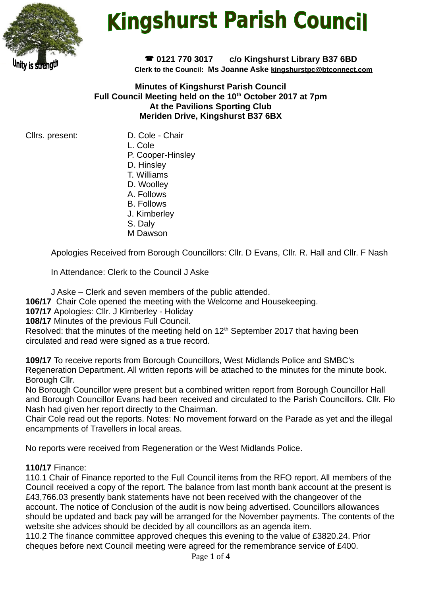

# **Kingshurst Parish Council**

 **0121 770 3017 c/o Kingshurst Library B37 6BD Clerk to the Council: Ms Joanne Aske [kingshurstpc@btconnect.com](mailto:kingshurstpc@btconnect.com)**

**Minutes of Kingshurst Parish Council Full Council Meeting held on the 10th October 2017 at 7pm At the Pavilions Sporting Club Meriden Drive, Kingshurst B37 6BX**

Cllrs. present: D. Cole - Chair

- L. Cole
- P. Cooper-Hinsley
- D. Hinsley
- T. Williams
- D. Woolley
- A. Follows
- B. Follows
- J. Kimberley
- S. Daly
- M Dawson

Apologies Received from Borough Councillors: Cllr. D Evans, Cllr. R. Hall and Cllr. F Nash

In Attendance: Clerk to the Council J Aske

J Aske – Clerk and seven members of the public attended.

**106/17** Chair Cole opened the meeting with the Welcome and Housekeeping.

**107/17** Apologies: Cllr. J Kimberley - Holiday

**108/17** Minutes of the previous Full Council.

Resolved: that the minutes of the meeting held on  $12<sup>th</sup>$  September 2017 that having been circulated and read were signed as a true record.

**109/17** To receive reports from Borough Councillors, West Midlands Police and SMBC's Regeneration Department. All written reports will be attached to the minutes for the minute book. Borough Cllr.

No Borough Councillor were present but a combined written report from Borough Councillor Hall and Borough Councillor Evans had been received and circulated to the Parish Councillors. Cllr. Flo Nash had given her report directly to the Chairman.

Chair Cole read out the reports. Notes: No movement forward on the Parade as yet and the illegal encampments of Travellers in local areas.

No reports were received from Regeneration or the West Midlands Police.

# **110/17** Finance:

110.1 Chair of Finance reported to the Full Council items from the RFO report. All members of the Council received a copy of the report. The balance from last month bank account at the present is £43,766.03 presently bank statements have not been received with the changeover of the account. The notice of Conclusion of the audit is now being advertised. Councillors allowances should be updated and back pay will be arranged for the November payments. The contents of the website she advices should be decided by all councillors as an agenda item.

110.2 The finance committee approved cheques this evening to the value of £3820.24. Prior cheques before next Council meeting were agreed for the remembrance service of £400.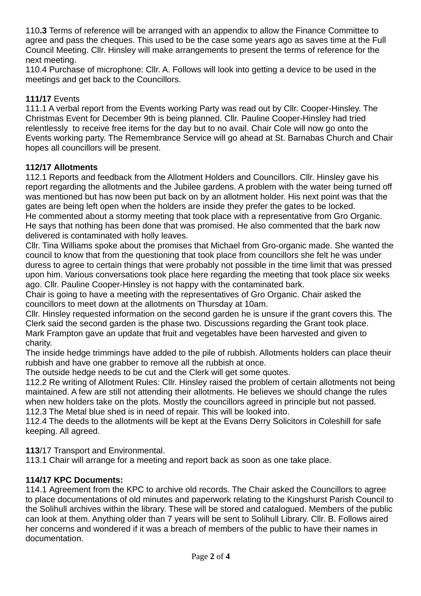110**.3** Terms of reference will be arranged with an appendix to allow the Finance Committee to agree and pass the cheques. This used to be the case some years ago as saves time at the Full Council Meeting. Cllr. Hinsley will make arrangements to present the terms of reference for the next meeting.

110.4 Purchase of microphone: Cllr. A. Follows will look into getting a device to be used in the meetings and get back to the Councillors.

# **111/17** Events

111.1 A verbal report from the Events working Party was read out by Cllr. Cooper-Hinsley. The Christmas Event for December 9th is being planned. Cllr. Pauline Cooper-Hinsley had tried relentlessly to receive free items for the day but to no avail. Chair Cole will now go onto the Events working party. The Remembrance Service will go ahead at St. Barnabas Church and Chair hopes all councillors will be present.

# **112/17 Allotments**

112.1 Reports and feedback from the Allotment Holders and Councillors. Cllr. Hinsley gave his report regarding the allotments and the Jubilee gardens. A problem with the water being turned off was mentioned but has now been put back on by an allotment holder. His next point was that the gates are being left open when the holders are inside they prefer the gates to be locked. He commented about a stormy meeting that took place with a representative from Gro Organic. He says that nothing has been done that was promised. He also commented that the bark now delivered is contaminated with holly leaves.

Cllr. Tina Williams spoke about the promises that Michael from Gro-organic made. She wanted the council to know that from the questioning that took place from councillors she felt he was under duress to agree to certain things that were probably not possible in the time limit that was pressed upon him. Various conversations took place here regarding the meeting that took place six weeks ago. Cllr. Pauline Cooper-Hinsley is not happy with the contaminated bark.

Chair is going to have a meeting with the representatives of Gro Organic. Chair asked the councillors to meet down at the allotments on Thursday at 10am.

Cllr. Hinsley requested information on the second garden he is unsure if the grant covers this. The Clerk said the second garden is the phase two. Discussions regarding the Grant took place. Mark Frampton gave an update that fruit and vegetables have been harvested and given to charity.

The inside hedge trimmings have added to the pile of rubbish. Allotments holders can place theuir rubbish and have one grabber to remove all the rubbish at once.

The outside hedge needs to be cut and the Clerk will get some quotes.

112.2 Re writing of Allotment Rules: Cllr. Hinsley raised the problem of certain allotments not being maintained. A few are still not attending their allotments. He believes we should change the rules when new holders take on the plots. Mostly the councillors agreed in principle but not passed. 112.3 The Metal blue shed is in need of repair. This will be looked into.

112.4 The deeds to the allotments will be kept at the Evans Derry Solicitors in Coleshill for safe keeping. All agreed.

**113**/17 Transport and Environmental.

113.1 Chair will arrange for a meeting and report back as soon as one take place.

# **114/17 KPC Documents:**

114.1 Agreement from the KPC to archive old records. The Chair asked the Councillors to agree to place documentations of old minutes and paperwork relating to the Kingshurst Parish Council to the Solihull archives within the library. These will be stored and catalogued. Members of the public can look at them. Anything older than 7 years will be sent to Solihull Library. Cllr. B. Follows aired her concerns and wondered if it was a breach of members of the public to have their names in documentation.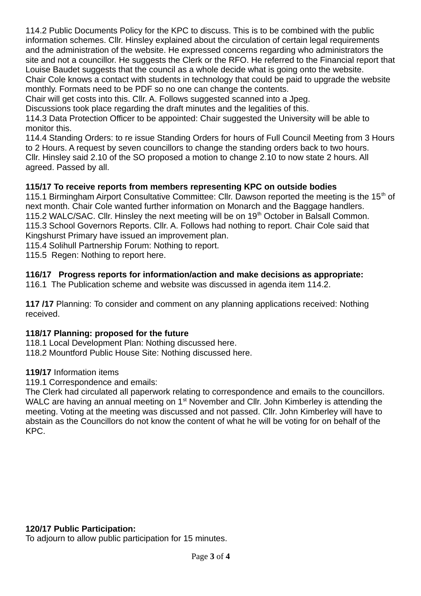114.2 Public Documents Policy for the KPC to discuss. This is to be combined with the public information schemes. Cllr. Hinsley explained about the circulation of certain legal requirements and the administration of the website. He expressed concerns regarding who administrators the site and not a councillor. He suggests the Clerk or the RFO. He referred to the Financial report that Louise Baudet suggests that the council as a whole decide what is going onto the website. Chair Cole knows a contact with students in technology that could be paid to upgrade the website

monthly. Formats need to be PDF so no one can change the contents.

Chair will get costs into this. Cllr. A. Follows suggested scanned into a Jpeg.

Discussions took place regarding the draft minutes and the legalities of this.

114.3 Data Protection Officer to be appointed: Chair suggested the University will be able to monitor this.

114.4 Standing Orders: to re issue Standing Orders for hours of Full Council Meeting from 3 Hours to 2 Hours. A request by seven councillors to change the standing orders back to two hours. Cllr. Hinsley said 2.10 of the SO proposed a motion to change 2.10 to now state 2 hours. All agreed. Passed by all.

# **115/17 To receive reports from members representing KPC on outside bodies**

115.1 Birmingham Airport Consultative Committee: Cllr. Dawson reported the meeting is the  $15<sup>th</sup>$  of next month. Chair Cole wanted further information on Monarch and the Baggage handlers. 115.2 WALC/SAC. Cllr. Hinsley the next meeting will be on 19<sup>th</sup> October in Balsall Common. 115.3 School Governors Reports. Cllr. A. Follows had nothing to report. Chair Cole said that Kingshurst Primary have issued an improvement plan.

115.4 Solihull Partnership Forum: Nothing to report.

115.5 Regen: Nothing to report here.

# **116/17 Progress reports for information/action and make decisions as appropriate:**

116.1 The Publication scheme and website was discussed in agenda item 114.2.

**117 /17** Planning: To consider and comment on any planning applications received: Nothing received.

# **118/17 Planning: proposed for the future**

118.1 Local Development Plan: Nothing discussed here.

118.2 Mountford Public House Site: Nothing discussed here.

#### **119/17** Information items

119.1 Correspondence and emails:

The Clerk had circulated all paperwork relating to correspondence and emails to the councillors. WALC are having an annual meeting on  $1<sup>st</sup>$  November and Cllr. John Kimberley is attending the meeting. Voting at the meeting was discussed and not passed. Cllr. John Kimberley will have to abstain as the Councillors do not know the content of what he will be voting for on behalf of the KPC.

# **120/17 Public Participation:**

To adjourn to allow public participation for 15 minutes.